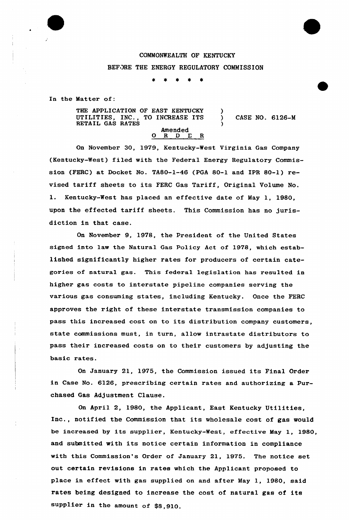## COMMONWEALTH OF KENTUCKY

## BEFORE THE ENERGY REGULATORY COMMISSION

 $\bullet$  $\pmb{\ast}$ 

In the Matter of:

THE APPLICATION OF EAST KENTUCKY UTILITIES, INC., TO INCREASE ITS RETAIL GAS RATES Amended<br>O R D E R ) ) CASE NO. 6126-M )

On November 30, 1979, Kentucky-West Virginia Gas Company (Kentucky-West) filed with the Federal Energy Regulatory Commission {FERC) at Docket No. TA80-1-46 (PGA 80-1 and IPR 80-1) revised tariff sheets to its FERC Gas Tariff, Original Volume No. 1. Kentucky-West has placed an effective date of May 1, 1980, upon the effected tariff sheets. This Commission has no jurisdiction in that case.

On November 9, 1978, the President of the United States signed into law the Natural Gas Policy Act of 1978, which established significantly higher rates for producers of certain categories of natural gas. This federal legislation has resulted in higher gas costs to interstate pipeline companies serving the various gas consuming states, including Kentucky. Once the FERC approves the right of these interstate transmission companies to pass this increased cost on to its distribution company customers, state commissions must, in turn, allow intrastate distributors to pass their increased costs on to their customers by adjusting the basic rates.

On January 21, 1975, the Commission issued its Final Order in Case No. 6126, prescribing certain rates and authorizing a Purchased Gas Adjustment Clause.

On April 2, 1980, the Applicant, East Kentucky Utilities, Inc., notified the Commission that its wholesale cost of gas would be increased by its supplier, Kentucky-West, effective May 1, 1980, and submitted with its notice certain information in compliance with this Commission's Order of January 21, 1975. The notice set out certain revisions in rates which the Applicant proposed to place in effect with gas supplied on and after May 1, 1980, said rates being designed to increase the cost of natural gas of its supplier in the amount of \$8,910.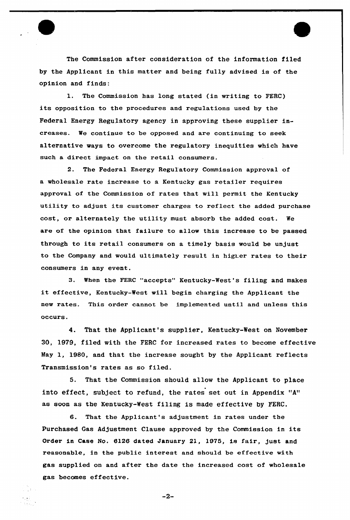The Commission after consideration of the information filed by the Applicant in this matter and being fully advised is of the opinion and finds:

1. The Commission has long stated (in writing to FERC) its opposition to the procedures and regulations used by the Federal Energy Regulatory agency in approving these supplier increases. We continue to be opposed and are continuing to seek alternative ways to overcome the regulatory inequities which have such a direct impact on the retail consumers.

2. The Federal Energy Regulatory Commission approval of a wholesale rate increase to a Kentucky gas retailer requires approval of the Commission of rates that will permit the Kentucky utility to adjust its customer charges to reflect the added purchase cost, or alternately the utility must absorb the added cost. We are of the opinion that failure to allow this increase to be passed through to its retail consumers on <sup>a</sup> timely basis would be unjust to the Company and would ultimately result in higher rates to their consumers in any event.

3. when the FERc "accepts" Kentucky-west's filing and makes it effective, Kentucky-West will begin charging the Applicant the new rates. This order cannot be implemented until and unless this occurs.

4. That the Applicant's supplier, Kentucky-West on November 30, 1979, filed with the FERC for increased rates to become effective May 1, 1980, and that the increase sought by the Applicant reflects Transmission's rates as so filed.

5. That the Commission should allow the Applicant to place into effect, subject to refund, the rates set out in Appendix "A" as soon as the Kentucky-West filing is made effective by FERC.

6. That the Applicant's adjustment in rates under the Purchased Gas Adjustment Clause approved by the Commission in its Order in Case No. 6l26 dated January 2l, 1975, is fair, just and reasonable, in the public interest and should be effective with gas supplied on and after the date the increased cost of wholesale gas becomes effective.

 $-2-$ 

 $\frac{1}{2}$  ,  $\frac{1}{2}$  ,  $\frac{1}{2}$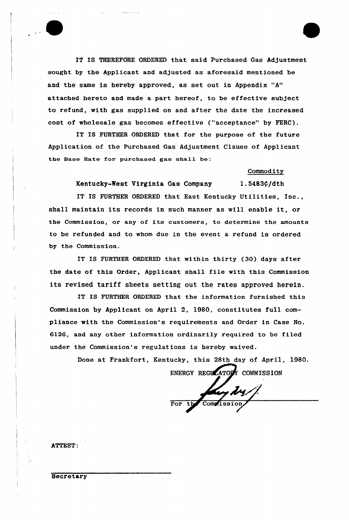IT IS THEREFORE ORDERED that said purchased Gas Adjustment sought by the Applicant and adjusted as aforesaid mentioned be and the same is hereby approved, as set out in Appendix "A" attached hereto and made a part hereof, to be effective subject to refund, with gas supplied on and after the date the increased cost of wholesale gas becomes effective ("acceptance" by FERC).

IT IS FURTHER ORDERED that for the purpose of the future Application of the Purchased Gas Adjustment Clause of Applicant the Base Rate for purchased gas shall be:

**Commodity** 

Kentucky-West Virginia Gas Company 1.5483¢/dth

IT IS FURTHER ORDERED that East Kentucky Utilities, Inc., shall maintain its records in such manner as will enable it, or the Commission, or any of its customers, to determine the amounts to be refunded and to whom due in the event a refund is ordered by the Commission.

IT IS FURTHER ORDERED that within thirty (30) days after the date of this Order, Applicant shall file with this Commission its revised tariff sheets setting out the rates approved herein.

IT IS FURTHER ORDERED that the information furnished this Commission by Applicant on April 2, 1980, constitutes full compliance with the Commission's requirements and Order in Case No. 6126, and any other information ordinari1y required to be filed under the Commission's regulations is hereby waived.

Done at Frankfort, Kentucky, this 28th day of April, 1980.

ENERGY REGULATORY COMMISSION For the Commission

ATTEST:

**Secretary**